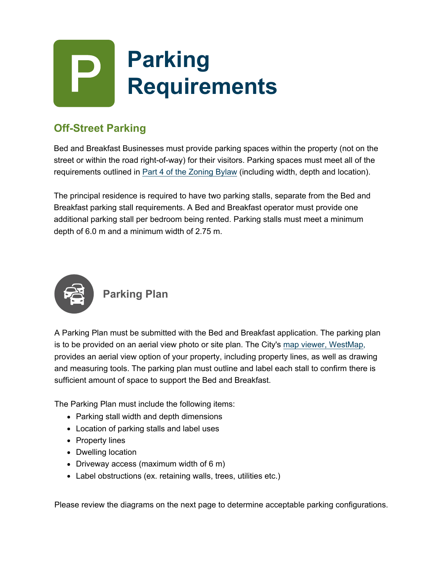

# **Off-Street Parking**

Bed and Breakfast Businesses must provide parking spaces within the property (not on the street or within the road right-of-way) for their visitors. Parking spaces must meet all of the requirements outlined in Part 4 of the Zoning Bylaw (including width, depth and location).

The principal residence is required to have two parking stalls, separate from the Bed and Breakfast parking stall requirements. A Bed and Breakfast operator must provide one additional parking stall per bedroom being rented. Parking stalls must meet a minimum depth of 6.0 m and a minimum width of 2.75 m.



### **Parking Plan**

A Parking Plan must be submitted with the Bed and Breakfast application. The parking plan is to be provided on an aerial view photo or site plan. The City's map viewer, WestMap, provides an aerial view option of your property, including property lines, as well as drawing and measuring tools. The parking plan must outline and label each stall to confirm there is sufficient amount of space to support the Bed and Breakfast.

The Parking Plan must include the following items:

- Parking stall width and depth dimensions
- Location of parking stalls and label uses
- Property lines
- Dwelling location
- Driveway access (maximum width of 6 m)
- Label obstructions (ex. retaining walls, trees, utilities etc.)

Please review the diagrams on the next page to determine acceptable parking configurations.